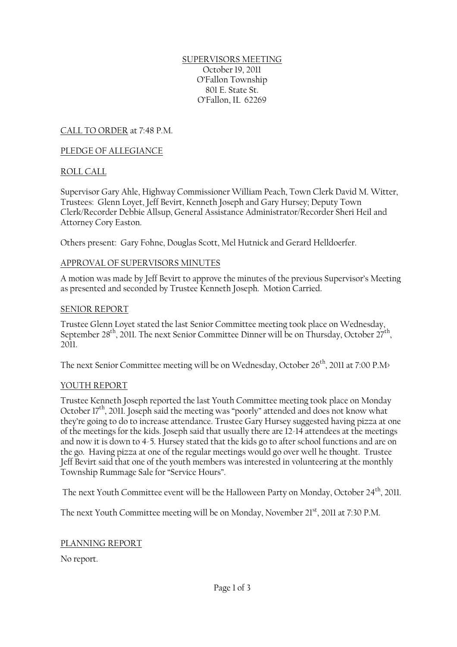SUPERVISORS MEETING October 19, 2011 O'Fallon Township 801 E. State St. O'Fallon, IL 62269

CALL TO ORDER at 7:48 P.M.

### PLEDGE OF ALLEGIANCE

### ROLL CALL

Supervisor Gary Ahle, Highway Commissioner William Peach, Town Clerk David M. Witter, Trustees: Glenn Loyet, Jeff Bevirt, Kenneth Joseph and Gary Hursey; Deputy Town Clerk/Recorder Debbie Allsup, General Assistance Administrator/Recorder Sheri Heil and Attorney Cory Easton.

Others present: Gary Fohne, Douglas Scott, Mel Hutnick and Gerard Helldoerfer.

### APPROVAL OF SUPERVISORS MINUTES

A motion was made by Jeff Bevirt to approve the minutes of the previous Supervisor's Meeting as presented and seconded by Trustee Kenneth Joseph. Motion Carried.

### SENIOR REPORT

Trustee Glenn Loyet stated the last Senior Committee meeting took place on Wednesday, September 28<sup>th</sup>, 2011. The next Senior Committee Dinner will be on Thursday, October 27<sup>th</sup>,  $2011$ 

The next Senior Committee meeting will be on Wednesday, October 26<sup>th</sup>, 2011 at 7:00 P.M>

### YOUTH REPORT

Trustee Kenneth Joseph reported the last Youth Committee meeting took place on Monday October 17th, 2011. Joseph said the meeting was "poorly" attended and does not know what they're going to do to increase attendance. Trustee Gary Hursey suggested having pizza at one of the meetings for the kids. Joseph said that usually there are 12-14 attendees at the meetings and now it is down to 4-5. Hursey stated that the kids go to after school functions and are on the go. Having pizza at one of the regular meetings would go over well he thought. Trustee Jeff Bevirt said that one of the youth members was interested in volunteering at the monthly Township Rummage Sale for "Service Hours".

The next Youth Committee event will be the Halloween Party on Monday, October 24<sup>th</sup>, 2011.

The next Youth Committee meeting will be on Monday, November 21<sup>st</sup>, 2011 at 7:30 P.M.

### PLANNING REPORT

No report.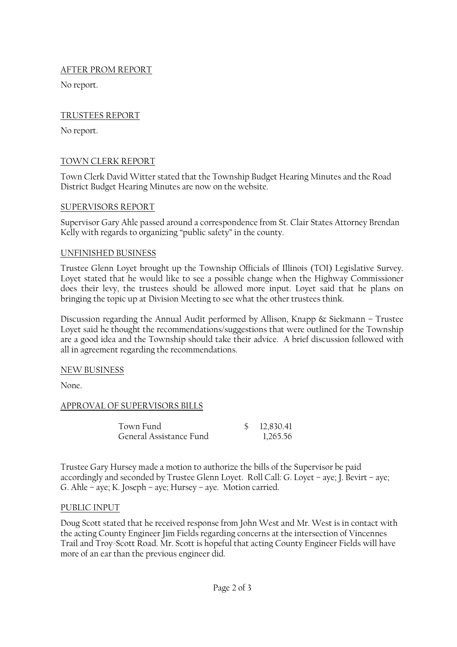## AFTER PROM REPORT

No report.

# TRUSTEES REPORT

No report.

# TOWN CLERK REPORT

Town Clerk David Witter stated that the Township Budget Hearing Minutes and the Road District Budget Hearing Minutes are now on the website.

## SUPERVISORS REPORT

Supervisor Gary Ahle passed around a correspondence from St. Clair States Attorney Brendan Kelly with regards to organizing "public safety" in the county.

## UNFINISHED BUSINESS

Trustee Glenn Loyet brought up the Township Officials of Illinois (TOI) Legislative Survey. Loyet stated that he would like to see a possible change when the Highway Commissioner does their levy, the trustees should be allowed more input. Loyet said that he plans on bringing the topic up at Division Meeting to see what the other trustees think.

Discussion regarding the Annual Audit performed by Allison, Knapp & Siekmann – Trustee Loyet said he thought the recommendations/suggestions that were outlined for the Township are a good idea and the Township should take their advice. A brief discussion followed with all in agreement regarding the recommendations.

## NEW BUSINESS

None.

## APPROVAL OF SUPERVISORS BILLS

| Town Fund               | \$12,830.41 |
|-------------------------|-------------|
| General Assistance Fund | 1,265.56    |

Trustee Gary Hursey made a motion to authorize the bills of the Supervisor be paid accordingly and seconded by Trustee Glenn Loyet. Roll Call: G. Loyet – aye; J. Bevirt – aye; G. Ahle – aye; K. Joseph – aye; Hursey – aye. Motion carried.

## PUBLIC INPUT

Doug Scott stated that he received response from John West and Mr. West is in contact with the acting County Engineer Jim Fields regarding concerns at the intersection of Vincennes Trail and Troy-Scott Road. Mr. Scott is hopeful that acting County Engineer Fields will have more of an ear than the previous engineer did.